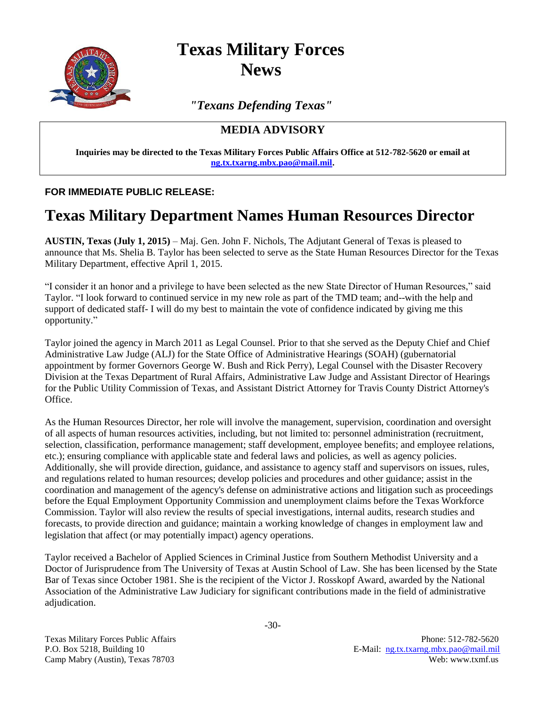

**Texas Military Forces News**

*"Texans Defending Texas"*

## **MEDIA ADVISORY**

**Inquiries may be directed to the Texas Military Forces Public Affairs Office at 512-782-5620 or email at [ng.tx.txarng.mbx.pao@mail.mil.](mailto:ng.tx.txarng.mbx.pao@mail.mil)**

## **FOR IMMEDIATE PUBLIC RELEASE:**

## **Texas Military Department Names Human Resources Director**

**AUSTIN, Texas (July 1, 2015)** – Maj. Gen. John F. Nichols, The Adjutant General of Texas is pleased to announce that Ms. Shelia B. Taylor has been selected to serve as the State Human Resources Director for the Texas Military Department, effective April 1, 2015.

"I consider it an honor and a privilege to have been selected as the new State Director of Human Resources," said Taylor. "I look forward to continued service in my new role as part of the TMD team; and--with the help and support of dedicated staff- I will do my best to maintain the vote of confidence indicated by giving me this opportunity."

Taylor joined the agency in March 2011 as Legal Counsel. Prior to that she served as the Deputy Chief and Chief Administrative Law Judge (ALJ) for the State Office of Administrative Hearings (SOAH) (gubernatorial appointment by former Governors George W. Bush and Rick Perry), Legal Counsel with the Disaster Recovery Division at the Texas Department of Rural Affairs, Administrative Law Judge and Assistant Director of Hearings for the Public Utility Commission of Texas, and Assistant District Attorney for Travis County District Attorney's Office.

As the Human Resources Director, her role will involve the management, supervision, coordination and oversight of all aspects of human resources activities, including, but not limited to: personnel administration (recruitment, selection, classification, performance management; staff development, employee benefits; and employee relations, etc.); ensuring compliance with applicable state and federal laws and policies, as well as agency policies. Additionally, she will provide direction, guidance, and assistance to agency staff and supervisors on issues, rules, and regulations related to human resources; develop policies and procedures and other guidance; assist in the coordination and management of the agency's defense on administrative actions and litigation such as proceedings before the Equal Employment Opportunity Commission and unemployment claims before the Texas Workforce Commission. Taylor will also review the results of special investigations, internal audits, research studies and forecasts, to provide direction and guidance; maintain a working knowledge of changes in employment law and legislation that affect (or may potentially impact) agency operations.

Taylor received a Bachelor of Applied Sciences in Criminal Justice from Southern Methodist University and a Doctor of Jurisprudence from The University of Texas at Austin School of Law. She has been licensed by the State Bar of Texas since October 1981. She is the recipient of the Victor J. Rosskopf Award, awarded by the National Association of the Administrative Law Judiciary for significant contributions made in the field of administrative adjudication.